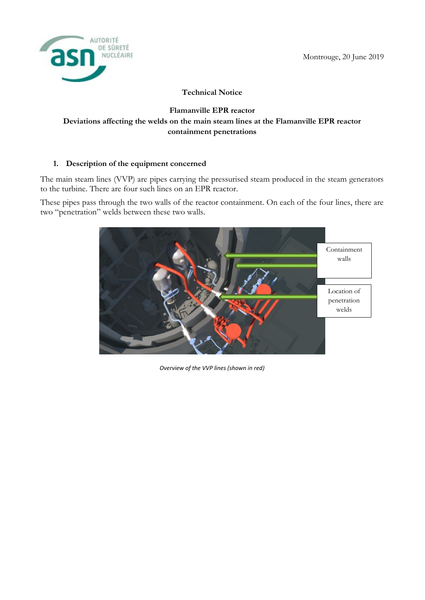

## **Technical Notice**

# **Flamanville EPR reactor Deviations affecting the welds on the main steam lines at the Flamanville EPR reactor containment penetrations**

#### **1. Description of the equipment concerned**

The main steam lines (VVP) are pipes carrying the pressurised steam produced in the steam generators to the turbine. There are four such lines on an EPR reactor.

These pipes pass through the two walls of the reactor containment. On each of the four lines, there are two "penetration" welds between these two walls.



*Overview of the VVP lines (shown in red)*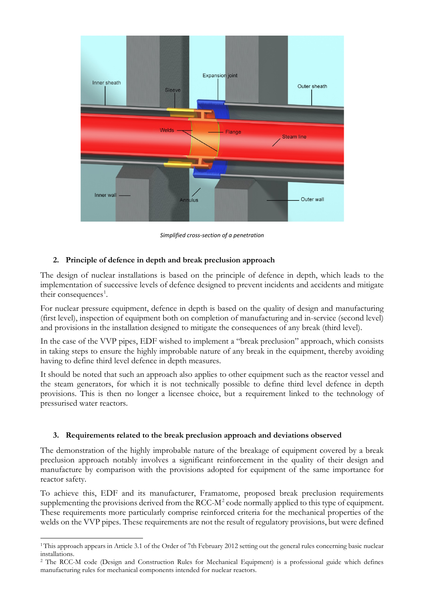

*Simplified cross-section of a penetration* 

## **2. Principle of defence in depth and break preclusion approach**

The design of nuclear installations is based on the principle of defence in depth, which leads to the implementation of successive levels of defence designed to prevent incidents and accidents and mitigate their consequences<sup>1</sup>.

For nuclear pressure equipment, defence in depth is based on the quality of design and manufacturing (first level), inspection of equipment both on completion of manufacturing and in-service (second level) and provisions in the installation designed to mitigate the consequences of any break (third level).

In the case of the VVP pipes, EDF wished to implement a "break preclusion" approach, which consists in taking steps to ensure the highly improbable nature of any break in the equipment, thereby avoiding having to define third level defence in depth measures.

It should be noted that such an approach also applies to other equipment such as the reactor vessel and the steam generators, for which it is not technically possible to define third level defence in depth provisions. This is then no longer a licensee choice, but a requirement linked to the technology of pressurised water reactors.

#### **3. Requirements related to the break preclusion approach and deviations observed**

The demonstration of the highly improbable nature of the breakage of equipment covered by a break preclusion approach notably involves a significant reinforcement in the quality of their design and manufacture by comparison with the provisions adopted for equipment of the same importance for reactor safety.

To achieve this, EDF and its manufacturer, Framatome, proposed break preclusion requirements supplementing the provisions derived from the RCC- $M^2$  code normally applied to this type of equipment. These requirements more particularly comprise reinforced criteria for the mechanical properties of the welds on the VVP pipes. These requirements are not the result of regulatory provisions, but were defined

1

<sup>&</sup>lt;sup>1</sup> This approach appears in Article 3.1 of the Order of 7th February 2012 setting out the general rules concerning basic nuclear installations.

<sup>2</sup> The RCC-M code (Design and Construction Rules for Mechanical Equipment) is a professional guide which defines manufacturing rules for mechanical components intended for nuclear reactors.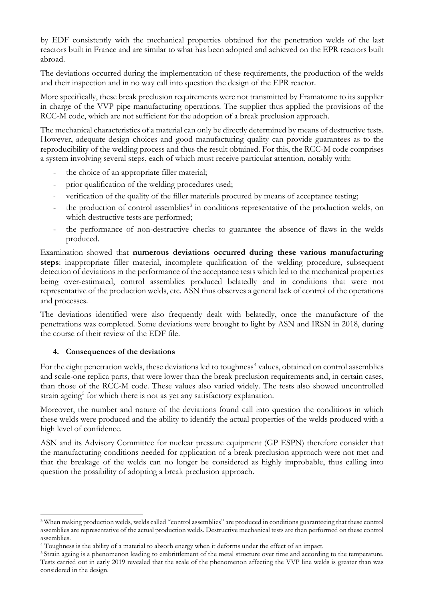by EDF consistently with the mechanical properties obtained for the penetration welds of the last reactors built in France and are similar to what has been adopted and achieved on the EPR reactors built abroad.

The deviations occurred during the implementation of these requirements, the production of the welds and their inspection and in no way call into question the design of the EPR reactor.

More specifically, these break preclusion requirements were not transmitted by Framatome to its supplier in charge of the VVP pipe manufacturing operations. The supplier thus applied the provisions of the RCC-M code, which are not sufficient for the adoption of a break preclusion approach.

The mechanical characteristics of a material can only be directly determined by means of destructive tests. However, adequate design choices and good manufacturing quality can provide guarantees as to the reproducibility of the welding process and thus the result obtained. For this, the RCC-M code comprises a system involving several steps, each of which must receive particular attention, notably with:

- the choice of an appropriate filler material;
- prior qualification of the welding procedures used;
- verification of the quality of the filler materials procured by means of acceptance testing;
- the production of control assemblies<sup>3</sup> in conditions representative of the production welds, on which destructive tests are performed;
- the performance of non-destructive checks to guarantee the absence of flaws in the welds produced.

Examination showed that **numerous deviations occurred during these various manufacturing steps**: inappropriate filler material, incomplete qualification of the welding procedure, subsequent detection of deviations in the performance of the acceptance tests which led to the mechanical properties being over-estimated, control assemblies produced belatedly and in conditions that were not representative of the production welds, etc. ASN thus observes a general lack of control of the operations and processes.

The deviations identified were also frequently dealt with belatedly, once the manufacture of the penetrations was completed. Some deviations were brought to light by ASN and IRSN in 2018, during the course of their review of the EDF file.

### **4. Consequences of the deviations**

1

For the eight penetration welds, these deviations led to toughness<sup>4</sup> values, obtained on control assemblies and scale-one replica parts, that were lower than the break preclusion requirements and, in certain cases, than those of the RCC-M code. These values also varied widely. The tests also showed uncontrolled strain ageing<sup>5</sup> for which there is not as yet any satisfactory explanation.

Moreover, the number and nature of the deviations found call into question the conditions in which these welds were produced and the ability to identify the actual properties of the welds produced with a high level of confidence.

ASN and its Advisory Committee for nuclear pressure equipment (GP ESPN) therefore consider that the manufacturing conditions needed for application of a break preclusion approach were not met and that the breakage of the welds can no longer be considered as highly improbable, thus calling into question the possibility of adopting a break preclusion approach.

<sup>3</sup> When making production welds, welds called "control assemblies" are produced in conditions guaranteeing that these control assemblies are representative of the actual production welds. Destructive mechanical tests are then performed on these control assemblies.

<sup>4</sup> Toughness is the ability of a material to absorb energy when it deforms under the effect of an impact.

<sup>&</sup>lt;sup>5</sup> Strain ageing is a phenomenon leading to embrittlement of the metal structure over time and according to the temperature. Tests carried out in early 2019 revealed that the scale of the phenomenon affecting the VVP line welds is greater than was considered in the design.